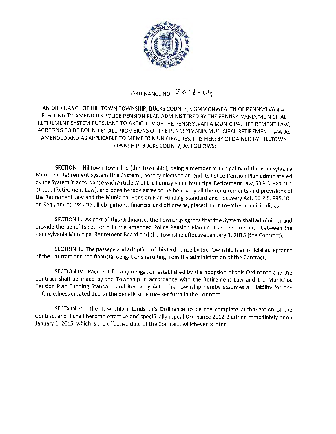

## ORDINANCE NO.  $2014 - 04$

AN ORDINANCE OF HILLTOWN TOWNSHIP, BUCKS COUNTY, COMMONWEALTH OF PENNSYLVANIA, ELECTING TO AMEND ITS POLICE PENSION PLAN ADMINISTERED BY THE PENNSYLVANIA MUNICIPAL RETIREMENT SYSTEM PURSUANT TO ARTICLE IV OF THE PENNSYLVANIA MUNICIPAL RETIREMENT LAW; AGREEING TO BE BOUND BY ALL PROVISIONS OF THE PENNSYLVANIA MUNICIPAL RETIREMENT LAW AS AMENDED AND AS APPLICABLE TO MEMBER MUNICIPALTIES, IT IS HEREBY ORDAINED BY HILLTOWN TOWNSHIP, BUCKS COUNTY, AS FOLLOWS:

SECTION I Hilltown Township (the Township), being a member municipality of the Pennsylvania Municipal Retirement System (the System), hereby elects to amend its Police Pension Plan administered by the System in accordance with Article IV of the Pennsylvania Municipal Retirement Law, 53 P.S. 881.101 et seq. (Retirement Law), and does hereby agree to be bound by all the requirements and provisions of the Retirement Law and the Municipal Pension Plan Funding Standard and Recovery Act, 53 P.S. 895.101 et. Seq., and to assume all obligations, financial and otherwise, placed upon member municipalities.

SECTION II. As part of this Ordinance, the Township agrees that the System shall administer and provide the benefits set forth in the amended Police Pension Plan Contract entered into between the Pennsylvania Municipal Retirement Board and the Township effective January 1, 2015 (the Contract).

SECTION Ill. The passage and adoption of this Ordinance by the Township is an official acceptance of the Contract and the financial obligations resulting from the administration of the Contract.

SECTION IV. Payment for any obligation established by the adoption of this Ordinance and the Contract shall be made by the Township in accordance with the Retirement Law and the Municipal Pension Plan Funding Standard and Recovery Act. The Township hereby assumes all liability for any unfundedness created due to the benefit structure set forth in the Contract.

SECTION V. The Township intends this Ordinance to be the complete authorization of the Contract and it shall become effective and specifically repeal Ordinance 2012-2 either immediately or on January 1, 2015, which is the effective date of the Contract, whichever is later.